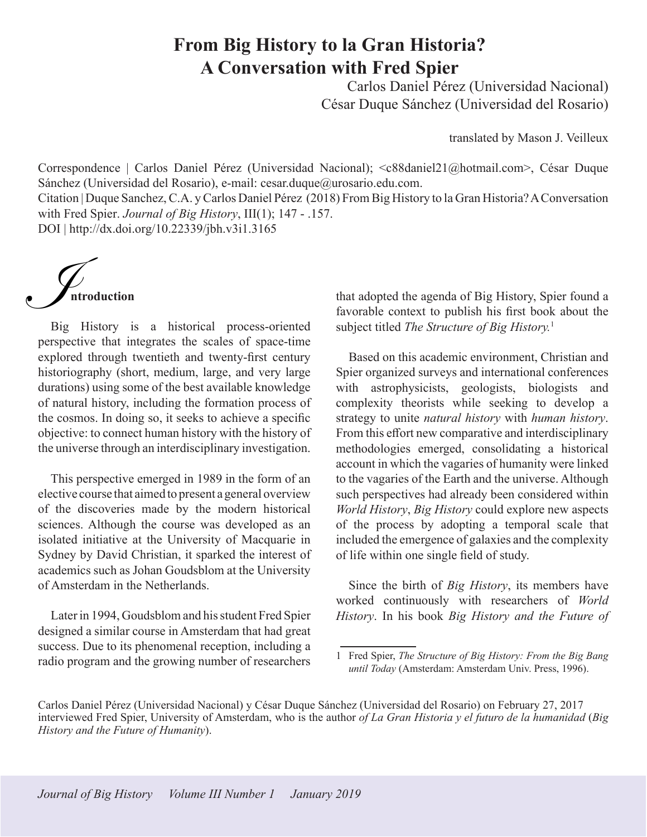## **From Big History to la Gran Historia? A Conversation with Fred Spier**

Carlos Daniel Pérez (Universidad Nacional) César Duque Sánchez (Universidad del Rosario)

translated by Mason J. Veilleux

Correspondence | Carlos Daniel Pérez (Universidad Nacional); <c88daniel21@hotmail.com>, César Duque Sánchez (Universidad del Rosario), e-mail: cesar.duque@urosario.edu.com. Citation | Duque Sanchez, C.A. y Carlos Daniel Pérez (2018) From Big History to la Gran Historia? A Conversation with Fred Spier. *Journal of Big History*, III(1); 147 - .157. DOI | http://dx.doi.org/10.22339/jbh.v3i1.3165

**ntroduction**  $\bigcup$ 

Big History is a historical process-oriented perspective that integrates the scales of space-time explored through twentieth and twenty-first century historiography (short, medium, large, and very large durations) using some of the best available knowledge of natural history, including the formation process of the cosmos. In doing so, it seeks to achieve a specific objective: to connect human history with the history of the universe through an interdisciplinary investigation.

This perspective emerged in 1989 in the form of an elective course that aimed to present a general overview of the discoveries made by the modern historical sciences. Although the course was developed as an isolated initiative at the University of Macquarie in Sydney by David Christian, it sparked the interest of academics such as Johan Goudsblom at the University of Amsterdam in the Netherlands.

Later in 1994, Goudsblom and his student Fred Spier designed a similar course in Amsterdam that had great success. Due to its phenomenal reception, including a radio program and the growing number of researchers

that adopted the agenda of Big History, Spier found a favorable context to publish his first book about the subject titled *The Structure of Big History.*<sup>1</sup>

Based on this academic environment, Christian and Spier organized surveys and international conferences with astrophysicists, geologists, biologists and complexity theorists while seeking to develop a strategy to unite *natural history* with *human history*. From this effort new comparative and interdisciplinary methodologies emerged, consolidating a historical account in which the vagaries of humanity were linked to the vagaries of the Earth and the universe. Although such perspectives had already been considered within *World History*, *Big History* could explore new aspects of the process by adopting a temporal scale that included the emergence of galaxies and the complexity of life within one single field of study.

Since the birth of *Big History*, its members have worked continuously with researchers of *World History*. In his book *Big History and the Future of* 

<sup>1</sup> Fred Spier, *The Structure of Big History: From the Big Bang until Today* (Amsterdam: Amsterdam Univ. Press, 1996).

Carlos Daniel Pérez (Universidad Nacional) y César Duque Sánchez (Universidad del Rosario) on February 27, 2017 interviewed Fred Spier, University of Amsterdam, who is the author *of La Gran Historia y el futuro de la humanidad* (*Big History and the Future of Humanity*).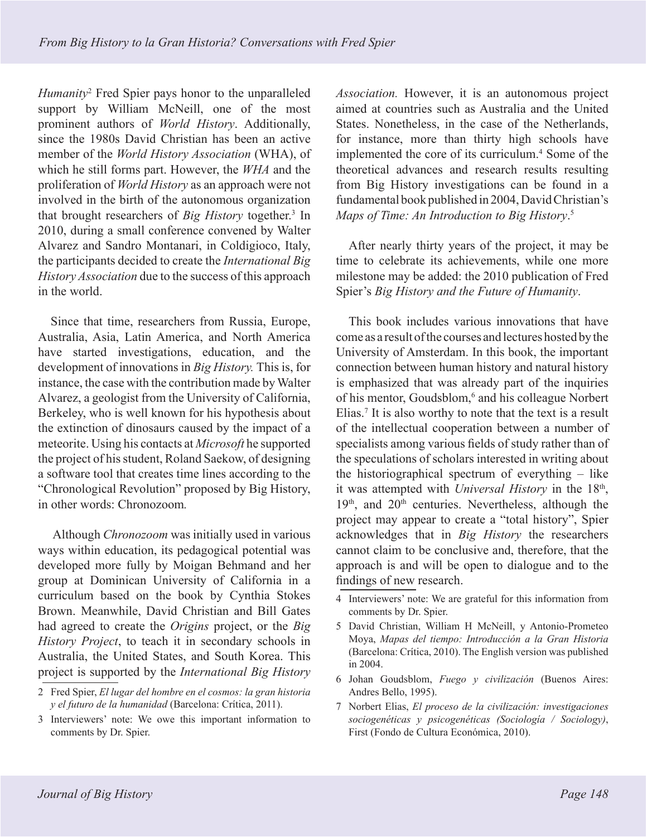*Humanity*<sup>2</sup> Fred Spier pays honor to the unparalleled support by William McNeill, one of the most prominent authors of *World History*. Additionally, since the 1980s David Christian has been an active member of the *World History Association* (WHA), of which he still forms part. However, the *WHA* and the proliferation of *World History* as an approach were not involved in the birth of the autonomous organization that brought researchers of *Big History* together.<sup>3</sup> In 2010, during a small conference convened by Walter Alvarez and Sandro Montanari, in Coldigioco, Italy, the participants decided to create the *International Big History Association* due to the success of this approach in the world.

Since that time, researchers from Russia, Europe, Australia, Asia, Latin America, and North America have started investigations, education, and the development of innovations in *Big History.* This is, for instance, the case with the contribution made by Walter Alvarez, a geologist from the University of California, Berkeley, who is well known for his hypothesis about the extinction of dinosaurs caused by the impact of a meteorite. Using his contacts at *Microsoft* he supported the project of his student, Roland Saekow, of designing a software tool that creates time lines according to the "Chronological Revolution" proposed by Big History, in other words: Chronozoom*.* 

 Although *Chronozoom* was initially used in various ways within education, its pedagogical potential was developed more fully by Moigan Behmand and her group at Dominican University of California in a curriculum based on the book by Cynthia Stokes Brown. Meanwhile, David Christian and Bill Gates had agreed to create the *Origins* project, or the *Big History Project*, to teach it in secondary schools in Australia, the United States, and South Korea. This project is supported by the *International Big History*  *Association.* However, it is an autonomous project aimed at countries such as Australia and the United States. Nonetheless, in the case of the Netherlands, for instance, more than thirty high schools have implemented the core of its curriculum.<sup>4</sup> Some of the theoretical advances and research results resulting from Big History investigations can be found in a fundamental book published in 2004, David Christian's *Maps of Time: An Introduction to Big History*. 5

After nearly thirty years of the project, it may be time to celebrate its achievements, while one more milestone may be added: the 2010 publication of Fred Spier's *Big History and the Future of Humanity*.

This book includes various innovations that have come as a result of the courses and lectures hosted by the University of Amsterdam. In this book, the important connection between human history and natural history is emphasized that was already part of the inquiries of his mentor, Goudsblom,<sup>6</sup> and his colleague Norbert Elias.<sup>7</sup> It is also worthy to note that the text is a result of the intellectual cooperation between a number of specialists among various fields of study rather than of the speculations of scholars interested in writing about the historiographical spectrum of everything – like it was attempted with *Universal History* in the 18<sup>th</sup>,  $19<sup>th</sup>$ , and  $20<sup>th</sup>$  centuries. Nevertheless, although the project may appear to create a "total history", Spier acknowledges that in *Big History* the researchers cannot claim to be conclusive and, therefore, that the approach is and will be open to dialogue and to the findings of new research.

- 4 Interviewers' note: We are grateful for this information from comments by Dr. Spier.
- 5 David Christian, William H McNeill, y Antonio-Prometeo Moya, *Mapas del tiempo: Introducción a la Gran Historia*  (Barcelona: Crítica, 2010). The English version was published in 2004.
- 6 Johan Goudsblom, *Fuego y civilización* (Buenos Aires: Andres Bello, 1995).
- 7 Norbert Elias, *El proceso de la civilización: investigaciones sociogenéticas y psicogenéticas (Sociología / Sociology)*, First (Fondo de Cultura Económica, 2010).

<sup>2</sup> Fred Spier, *El lugar del hombre en el cosmos: la gran historia y el futuro de la humanidad* (Barcelona: Crítica, 2011).

<sup>3</sup> Interviewers' note: We owe this important information to comments by Dr. Spier.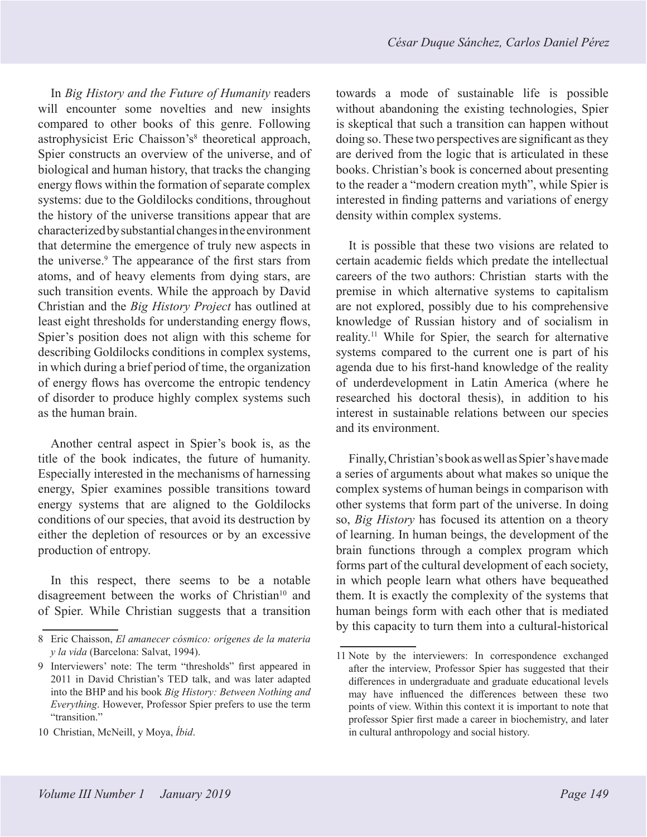In *Big History and the Future of Humanity* readers will encounter some novelties and new insights compared to other books of this genre. Following astrophysicist Eric Chaisson's<sup>8</sup> theoretical approach, Spier constructs an overview of the universe, and of biological and human history, that tracks the changing energy flows within the formation of separate complex systems: due to the Goldilocks conditions, throughout the history of the universe transitions appear that are characterized by substantial changes in the environment that determine the emergence of truly new aspects in the universe.<sup>9</sup> The appearance of the first stars from atoms, and of heavy elements from dying stars, are such transition events. While the approach by David Christian and the *Big History Project* has outlined at least eight thresholds for understanding energy flows, Spier's position does not align with this scheme for describing Goldilocks conditions in complex systems, in which during a brief period of time, the organization of energy flows has overcome the entropic tendency of disorder to produce highly complex systems such as the human brain.

Another central aspect in Spier's book is, as the title of the book indicates, the future of humanity. Especially interested in the mechanisms of harnessing energy, Spier examines possible transitions toward energy systems that are aligned to the Goldilocks conditions of our species, that avoid its destruction by either the depletion of resources or by an excessive production of entropy.

In this respect, there seems to be a notable disagreement between the works of Christian<sup>10</sup> and of Spier. While Christian suggests that a transition towards a mode of sustainable life is possible without abandoning the existing technologies, Spier is skeptical that such a transition can happen without doing so. These two perspectives are significant as they are derived from the logic that is articulated in these books. Christian's book is concerned about presenting to the reader a "modern creation myth", while Spier is interested in finding patterns and variations of energy density within complex systems.

It is possible that these two visions are related to certain academic fields which predate the intellectual careers of the two authors: Christian starts with the premise in which alternative systems to capitalism are not explored, possibly due to his comprehensive knowledge of Russian history and of socialism in reality.11 While for Spier, the search for alternative systems compared to the current one is part of his agenda due to his first-hand knowledge of the reality of underdevelopment in Latin America (where he researched his doctoral thesis), in addition to his interest in sustainable relations between our species and its environment.

Finally, Christian's book as well as Spier's have made a series of arguments about what makes so unique the complex systems of human beings in comparison with other systems that form part of the universe. In doing so, *Big History* has focused its attention on a theory of learning. In human beings, the development of the brain functions through a complex program which forms part of the cultural development of each society, in which people learn what others have bequeathed them. It is exactly the complexity of the systems that human beings form with each other that is mediated by this capacity to turn them into a cultural-historical

<sup>8</sup> Eric Chaisson, *El amanecer cósmico: orígenes de la materia y la vida* (Barcelona: Salvat, 1994).

<sup>9</sup> Interviewers' note: The term "thresholds" first appeared in 2011 in David Christian's TED talk, and was later adapted into the BHP and his book *Big History: Between Nothing and Everything*. However, Professor Spier prefers to use the term "transition."

<sup>10</sup> Christian, McNeill, y Moya, *Íbid*.

<sup>11</sup> Note by the interviewers: In correspondence exchanged after the interview, Professor Spier has suggested that their differences in undergraduate and graduate educational levels may have influenced the differences between these two points of view. Within this context it is important to note that professor Spier first made a career in biochemistry, and later in cultural anthropology and social history.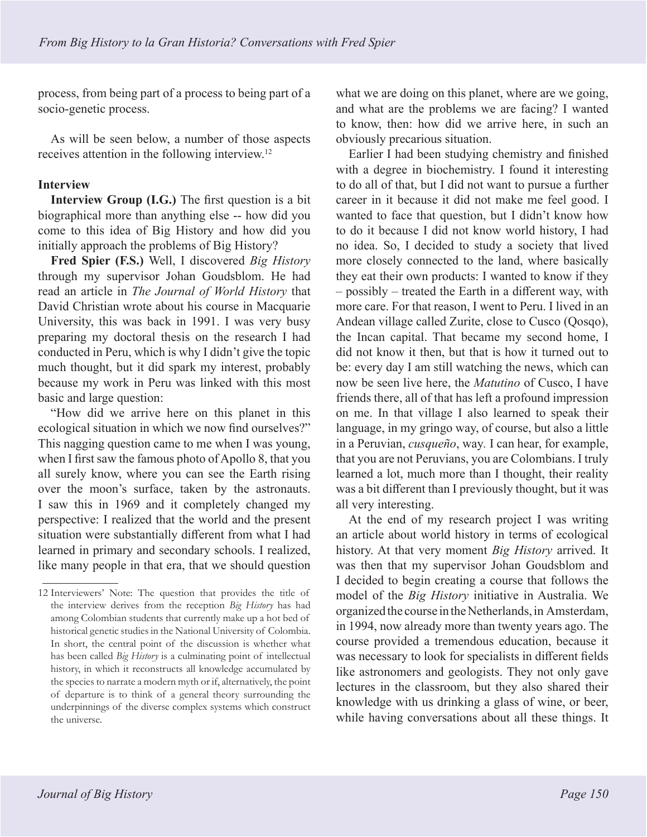process, from being part of a process to being part of a socio-genetic process.

As will be seen below, a number of those aspects receives attention in the following interview.12

## **Interview**

**Interview Group (I.G.)** The first question is a bit biographical more than anything else -- how did you come to this idea of Big History and how did you initially approach the problems of Big History?

**Fred Spier (F.S.)** Well, I discovered *Big History* through my supervisor Johan Goudsblom. He had read an article in *The Journal of World History* that David Christian wrote about his course in Macquarie University, this was back in 1991. I was very busy preparing my doctoral thesis on the research I had conducted in Peru, which is why I didn't give the topic much thought, but it did spark my interest, probably because my work in Peru was linked with this most basic and large question:

"How did we arrive here on this planet in this ecological situation in which we now find ourselves?" This nagging question came to me when I was young, when I first saw the famous photo of Apollo 8, that you all surely know, where you can see the Earth rising over the moon's surface, taken by the astronauts. I saw this in 1969 and it completely changed my perspective: I realized that the world and the present situation were substantially different from what I had learned in primary and secondary schools. I realized, like many people in that era, that we should question what we are doing on this planet, where are we going, and what are the problems we are facing? I wanted to know, then: how did we arrive here, in such an obviously precarious situation.

Earlier I had been studying chemistry and finished with a degree in biochemistry. I found it interesting to do all of that, but I did not want to pursue a further career in it because it did not make me feel good. I wanted to face that question, but I didn't know how to do it because I did not know world history, I had no idea. So, I decided to study a society that lived more closely connected to the land, where basically they eat their own products: I wanted to know if they – possibly – treated the Earth in a different way, with more care. For that reason, I went to Peru. I lived in an Andean village called Zurite, close to Cusco (Qosqo), the Incan capital. That became my second home, I did not know it then, but that is how it turned out to be: every day I am still watching the news, which can now be seen live here, the *Matutino* of Cusco, I have friends there, all of that has left a profound impression on me. In that village I also learned to speak their language, in my gringo way, of course, but also a little in a Peruvian, *cusqueño*, way*.* I can hear, for example, that you are not Peruvians, you are Colombians. I truly learned a lot, much more than I thought, their reality was a bit different than I previously thought, but it was all very interesting.

At the end of my research project I was writing an article about world history in terms of ecological history. At that very moment *Big History* arrived. It was then that my supervisor Johan Goudsblom and I decided to begin creating a course that follows the model of the *Big History* initiative in Australia. We organized the course in the Netherlands, in Amsterdam, in 1994, now already more than twenty years ago. The course provided a tremendous education, because it was necessary to look for specialists in different fields like astronomers and geologists. They not only gave lectures in the classroom, but they also shared their knowledge with us drinking a glass of wine, or beer, while having conversations about all these things. It

<sup>12</sup> Interviewers' Note: The question that provides the title of the interview derives from the reception *Big History* has had among Colombian students that currently make up a hot bed of historical genetic studies in the National University of Colombia. In short, the central point of the discussion is whether what has been called *Big History* is a culminating point of intellectual history, in which it reconstructs all knowledge accumulated by the species to narrate a modern myth or if, alternatively, the point of departure is to think of a general theory surrounding the underpinnings of the diverse complex systems which construct the universe.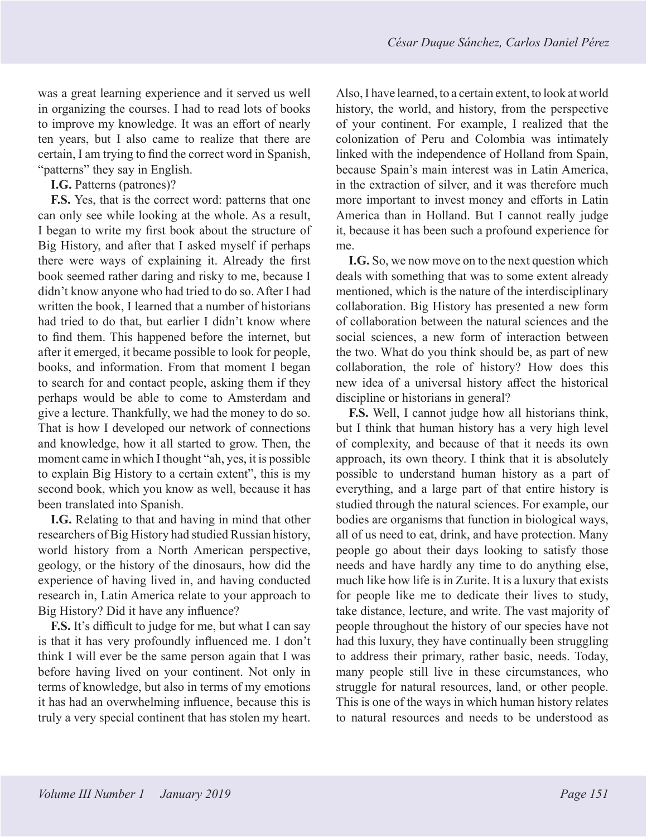was a great learning experience and it served us well in organizing the courses. I had to read lots of books to improve my knowledge. It was an effort of nearly ten years, but I also came to realize that there are certain, I am trying to find the correct word in Spanish, "patterns" they say in English.

**I.G.** Patterns (patrones)?

**F.S.** Yes, that is the correct word: patterns that one can only see while looking at the whole. As a result, I began to write my first book about the structure of Big History, and after that I asked myself if perhaps there were ways of explaining it. Already the first book seemed rather daring and risky to me, because I didn't know anyone who had tried to do so. After I had written the book, I learned that a number of historians had tried to do that, but earlier I didn't know where to find them. This happened before the internet, but after it emerged, it became possible to look for people, books, and information. From that moment I began to search for and contact people, asking them if they perhaps would be able to come to Amsterdam and give a lecture. Thankfully, we had the money to do so. That is how I developed our network of connections and knowledge, how it all started to grow. Then, the moment came in which I thought "ah, yes, it is possible to explain Big History to a certain extent", this is my second book, which you know as well, because it has been translated into Spanish.

**I.G.** Relating to that and having in mind that other researchers of Big History had studied Russian history, world history from a North American perspective, geology, or the history of the dinosaurs, how did the experience of having lived in, and having conducted research in, Latin America relate to your approach to Big History? Did it have any influence?

**F.S.** It's difficult to judge for me, but what I can say is that it has very profoundly influenced me. I don't think I will ever be the same person again that I was before having lived on your continent. Not only in terms of knowledge, but also in terms of my emotions it has had an overwhelming influence, because this is truly a very special continent that has stolen my heart.

Also, I have learned, to a certain extent, to look at world history, the world, and history, from the perspective of your continent. For example, I realized that the colonization of Peru and Colombia was intimately linked with the independence of Holland from Spain, because Spain's main interest was in Latin America, in the extraction of silver, and it was therefore much more important to invest money and efforts in Latin America than in Holland. But I cannot really judge it, because it has been such a profound experience for me.

**I.G.** So, we now move on to the next question which deals with something that was to some extent already mentioned, which is the nature of the interdisciplinary collaboration. Big History has presented a new form of collaboration between the natural sciences and the social sciences, a new form of interaction between the two. What do you think should be, as part of new collaboration, the role of history? How does this new idea of a universal history affect the historical discipline or historians in general?

**F.S.** Well, I cannot judge how all historians think, but I think that human history has a very high level of complexity, and because of that it needs its own approach, its own theory. I think that it is absolutely possible to understand human history as a part of everything, and a large part of that entire history is studied through the natural sciences. For example, our bodies are organisms that function in biological ways, all of us need to eat, drink, and have protection. Many people go about their days looking to satisfy those needs and have hardly any time to do anything else, much like how life is in Zurite. It is a luxury that exists for people like me to dedicate their lives to study, take distance, lecture, and write. The vast majority of people throughout the history of our species have not had this luxury, they have continually been struggling to address their primary, rather basic, needs. Today, many people still live in these circumstances, who struggle for natural resources, land, or other people. This is one of the ways in which human history relates to natural resources and needs to be understood as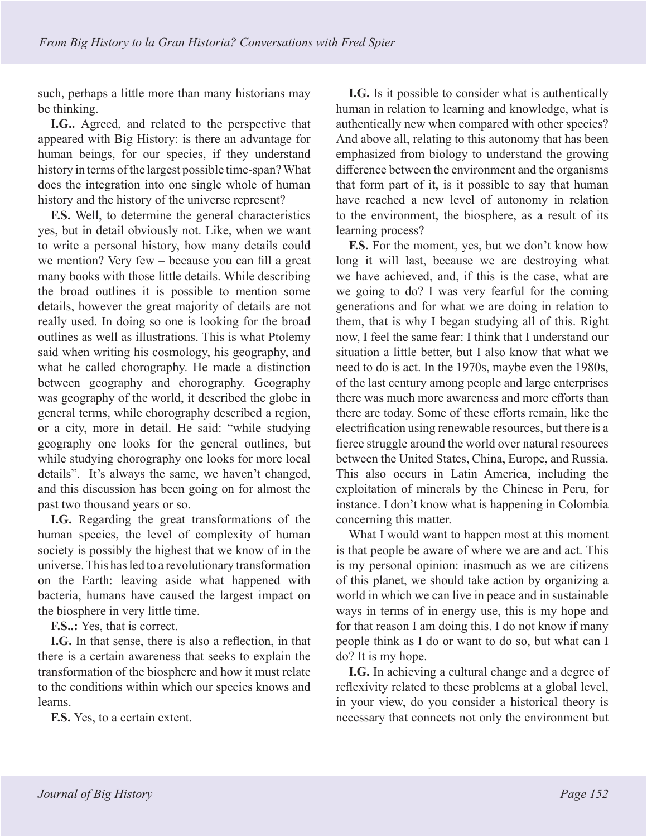such, perhaps a little more than many historians may be thinking.

**I.G..** Agreed, and related to the perspective that appeared with Big History: is there an advantage for human beings, for our species, if they understand history in terms of the largest possible time-span? What does the integration into one single whole of human history and the history of the universe represent?

**F.S.** Well, to determine the general characteristics yes, but in detail obviously not. Like, when we want to write a personal history, how many details could we mention? Very few – because you can fill a great many books with those little details. While describing the broad outlines it is possible to mention some details, however the great majority of details are not really used. In doing so one is looking for the broad outlines as well as illustrations. This is what Ptolemy said when writing his cosmology, his geography, and what he called chorography. He made a distinction between geography and chorography. Geography was geography of the world, it described the globe in general terms, while chorography described a region, or a city, more in detail. He said: "while studying geography one looks for the general outlines, but while studying chorography one looks for more local details". It's always the same, we haven't changed, and this discussion has been going on for almost the past two thousand years or so.

**I.G.** Regarding the great transformations of the human species, the level of complexity of human society is possibly the highest that we know of in the universe. This has led to a revolutionary transformation on the Earth: leaving aside what happened with bacteria, humans have caused the largest impact on the biosphere in very little time.

**F.S..:** Yes, that is correct.

**I.G.** In that sense, there is also a reflection, in that there is a certain awareness that seeks to explain the transformation of the biosphere and how it must relate to the conditions within which our species knows and learns.

**F.S.** Yes, to a certain extent.

**I.G.** Is it possible to consider what is authentically human in relation to learning and knowledge, what is authentically new when compared with other species? And above all, relating to this autonomy that has been emphasized from biology to understand the growing difference between the environment and the organisms that form part of it, is it possible to say that human have reached a new level of autonomy in relation to the environment, the biosphere, as a result of its learning process?

**F.S.** For the moment, yes, but we don't know how long it will last, because we are destroying what we have achieved, and, if this is the case, what are we going to do? I was very fearful for the coming generations and for what we are doing in relation to them, that is why I began studying all of this. Right now, I feel the same fear: I think that I understand our situation a little better, but I also know that what we need to do is act. In the 1970s, maybe even the 1980s, of the last century among people and large enterprises there was much more awareness and more efforts than there are today. Some of these efforts remain, like the electrification using renewable resources, but there is a fierce struggle around the world over natural resources between the United States, China, Europe, and Russia. This also occurs in Latin America, including the exploitation of minerals by the Chinese in Peru, for instance. I don't know what is happening in Colombia concerning this matter.

What I would want to happen most at this moment is that people be aware of where we are and act. This is my personal opinion: inasmuch as we are citizens of this planet, we should take action by organizing a world in which we can live in peace and in sustainable ways in terms of in energy use, this is my hope and for that reason I am doing this. I do not know if many people think as I do or want to do so, but what can I do? It is my hope.

**I.G.** In achieving a cultural change and a degree of reflexivity related to these problems at a global level, in your view, do you consider a historical theory is necessary that connects not only the environment but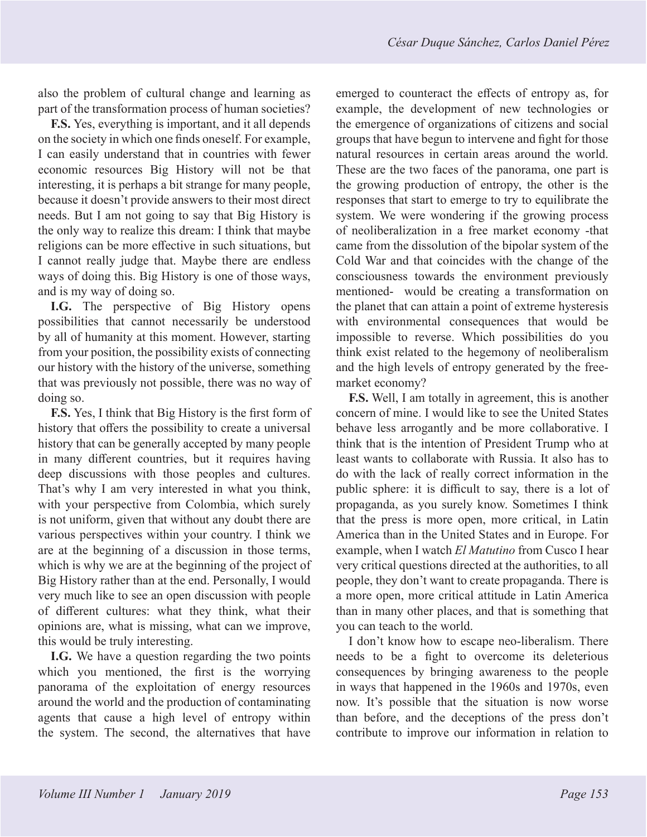also the problem of cultural change and learning as part of the transformation process of human societies?

**F.S.** Yes, everything is important, and it all depends on the society in which one finds oneself. For example, I can easily understand that in countries with fewer economic resources Big History will not be that interesting, it is perhaps a bit strange for many people, because it doesn't provide answers to their most direct needs. But I am not going to say that Big History is the only way to realize this dream: I think that maybe religions can be more effective in such situations, but I cannot really judge that. Maybe there are endless ways of doing this. Big History is one of those ways, and is my way of doing so.

**I.G.** The perspective of Big History opens possibilities that cannot necessarily be understood by all of humanity at this moment. However, starting from your position, the possibility exists of connecting our history with the history of the universe, something that was previously not possible, there was no way of doing so.

**F.S.** Yes, I think that Big History is the first form of history that offers the possibility to create a universal history that can be generally accepted by many people in many different countries, but it requires having deep discussions with those peoples and cultures. That's why I am very interested in what you think, with your perspective from Colombia, which surely is not uniform, given that without any doubt there are various perspectives within your country. I think we are at the beginning of a discussion in those terms, which is why we are at the beginning of the project of Big History rather than at the end. Personally, I would very much like to see an open discussion with people of different cultures: what they think, what their opinions are, what is missing, what can we improve, this would be truly interesting.

**I.G.** We have a question regarding the two points which you mentioned, the first is the worrying panorama of the exploitation of energy resources around the world and the production of contaminating agents that cause a high level of entropy within the system. The second, the alternatives that have

emerged to counteract the effects of entropy as, for example, the development of new technologies or the emergence of organizations of citizens and social groups that have begun to intervene and fight for those natural resources in certain areas around the world. These are the two faces of the panorama, one part is the growing production of entropy, the other is the responses that start to emerge to try to equilibrate the system. We were wondering if the growing process of neoliberalization in a free market economy -that came from the dissolution of the bipolar system of the Cold War and that coincides with the change of the consciousness towards the environment previously mentioned- would be creating a transformation on the planet that can attain a point of extreme hysteresis with environmental consequences that would be impossible to reverse. Which possibilities do you think exist related to the hegemony of neoliberalism and the high levels of entropy generated by the freemarket economy?

**F.S.** Well, I am totally in agreement, this is another concern of mine. I would like to see the United States behave less arrogantly and be more collaborative. I think that is the intention of President Trump who at least wants to collaborate with Russia. It also has to do with the lack of really correct information in the public sphere: it is difficult to say, there is a lot of propaganda, as you surely know. Sometimes I think that the press is more open, more critical, in Latin America than in the United States and in Europe. For example, when I watch *El Matutino* from Cusco I hear very critical questions directed at the authorities, to all people, they don't want to create propaganda. There is a more open, more critical attitude in Latin America than in many other places, and that is something that you can teach to the world.

I don't know how to escape neo-liberalism. There needs to be a fight to overcome its deleterious consequences by bringing awareness to the people in ways that happened in the 1960s and 1970s, even now. It's possible that the situation is now worse than before, and the deceptions of the press don't contribute to improve our information in relation to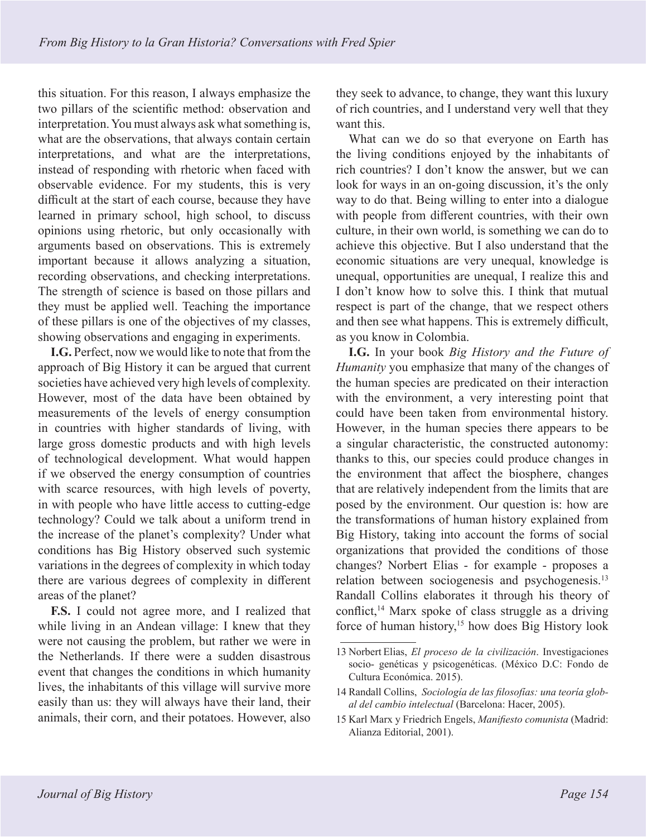this situation. For this reason, I always emphasize the two pillars of the scientific method: observation and interpretation. You must always ask what something is, what are the observations, that always contain certain interpretations, and what are the interpretations, instead of responding with rhetoric when faced with observable evidence. For my students, this is very difficult at the start of each course, because they have learned in primary school, high school, to discuss opinions using rhetoric, but only occasionally with arguments based on observations. This is extremely important because it allows analyzing a situation, recording observations, and checking interpretations. The strength of science is based on those pillars and they must be applied well. Teaching the importance of these pillars is one of the objectives of my classes, showing observations and engaging in experiments.

**I.G.** Perfect, now we would like to note that from the approach of Big History it can be argued that current societies have achieved very high levels of complexity. However, most of the data have been obtained by measurements of the levels of energy consumption in countries with higher standards of living, with large gross domestic products and with high levels of technological development. What would happen if we observed the energy consumption of countries with scarce resources, with high levels of poverty, in with people who have little access to cutting-edge technology? Could we talk about a uniform trend in the increase of the planet's complexity? Under what conditions has Big History observed such systemic variations in the degrees of complexity in which today there are various degrees of complexity in different areas of the planet?

**F.S.** I could not agree more, and I realized that while living in an Andean village: I knew that they were not causing the problem, but rather we were in the Netherlands. If there were a sudden disastrous event that changes the conditions in which humanity lives, the inhabitants of this village will survive more easily than us: they will always have their land, their animals, their corn, and their potatoes. However, also

they seek to advance, to change, they want this luxury of rich countries, and I understand very well that they want this.

What can we do so that everyone on Earth has the living conditions enjoyed by the inhabitants of rich countries? I don't know the answer, but we can look for ways in an on-going discussion, it's the only way to do that. Being willing to enter into a dialogue with people from different countries, with their own culture, in their own world, is something we can do to achieve this objective. But I also understand that the economic situations are very unequal, knowledge is unequal, opportunities are unequal, I realize this and I don't know how to solve this. I think that mutual respect is part of the change, that we respect others and then see what happens. This is extremely difficult, as you know in Colombia.

**I.G.** In your book *Big History and the Future of Humanity* you emphasize that many of the changes of the human species are predicated on their interaction with the environment, a very interesting point that could have been taken from environmental history. However, in the human species there appears to be a singular characteristic, the constructed autonomy: thanks to this, our species could produce changes in the environment that affect the biosphere, changes that are relatively independent from the limits that are posed by the environment. Our question is: how are the transformations of human history explained from Big History, taking into account the forms of social organizations that provided the conditions of those changes? Norbert Elias - for example - proposes a relation between sociogenesis and psychogenesis.<sup>13</sup> Randall Collins elaborates it through his theory of conflict, $^{14}$  Marx spoke of class struggle as a driving force of human history,15 how does Big History look

<sup>13</sup> Norbert Elias, *El proceso de la civilización*. Investigaciones socio- genéticas y psicogenéticas. (México D.C: Fondo de Cultura Económica. 2015).

<sup>14</sup> Randall Collins, *Sociología de las filosofías: una teoría global del cambio intelectual* (Barcelona: Hacer, 2005).

<sup>15</sup> Karl Marx y Friedrich Engels, *Manifiesto comunista* (Madrid: Alianza Editorial, 2001).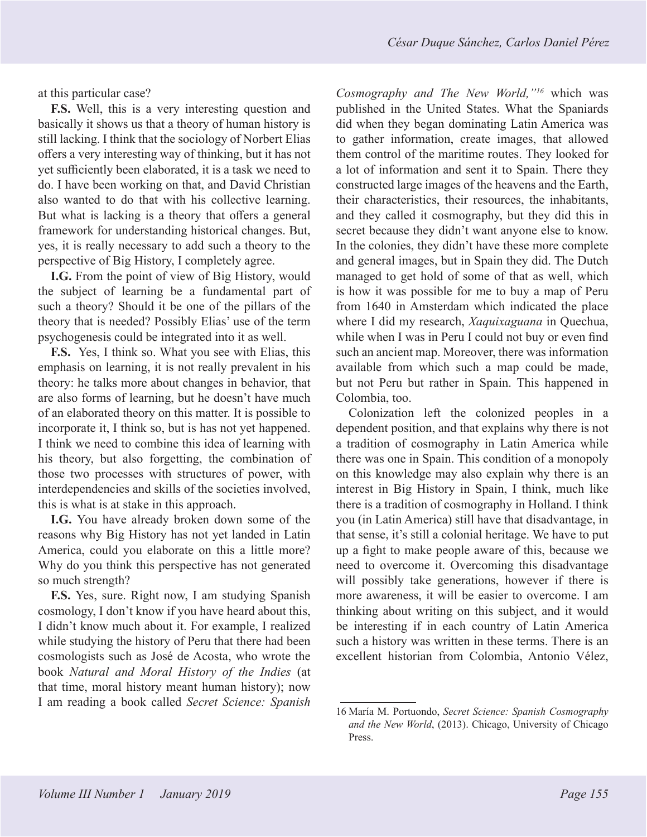at this particular case?

**F.S.** Well, this is a very interesting question and basically it shows us that a theory of human history is still lacking. I think that the sociology of Norbert Elias offers a very interesting way of thinking, but it has not yet sufficiently been elaborated, it is a task we need to do. I have been working on that, and David Christian also wanted to do that with his collective learning. But what is lacking is a theory that offers a general framework for understanding historical changes. But, yes, it is really necessary to add such a theory to the perspective of Big History, I completely agree.

**I.G.** From the point of view of Big History, would the subject of learning be a fundamental part of such a theory? Should it be one of the pillars of the theory that is needed? Possibly Elias' use of the term psychogenesis could be integrated into it as well.

**F.S.** Yes, I think so. What you see with Elias, this emphasis on learning, it is not really prevalent in his theory: he talks more about changes in behavior, that are also forms of learning, but he doesn't have much of an elaborated theory on this matter. It is possible to incorporate it, I think so, but is has not yet happened. I think we need to combine this idea of learning with his theory, but also forgetting, the combination of those two processes with structures of power, with interdependencies and skills of the societies involved, this is what is at stake in this approach.

**I.G.** You have already broken down some of the reasons why Big History has not yet landed in Latin America, could you elaborate on this a little more? Why do you think this perspective has not generated so much strength?

**F.S.** Yes, sure. Right now, I am studying Spanish cosmology, I don't know if you have heard about this, I didn't know much about it. For example, I realized while studying the history of Peru that there had been cosmologists such as José de Acosta, who wrote the book *Natural and Moral History of the Indies* (at that time, moral history meant human history); now I am reading a book called *Secret Science: Spanish* 

*Cosmography and The New World,"16* which was published in the United States. What the Spaniards did when they began dominating Latin America was to gather information, create images, that allowed them control of the maritime routes. They looked for a lot of information and sent it to Spain. There they constructed large images of the heavens and the Earth, their characteristics, their resources, the inhabitants, and they called it cosmography, but they did this in secret because they didn't want anyone else to know. In the colonies, they didn't have these more complete and general images, but in Spain they did. The Dutch managed to get hold of some of that as well, which is how it was possible for me to buy a map of Peru from 1640 in Amsterdam which indicated the place where I did my research, *Xaquixaguana* in Quechua, while when I was in Peru I could not buy or even find such an ancient map. Moreover, there was information available from which such a map could be made, but not Peru but rather in Spain. This happened in Colombia, too.

Colonization left the colonized peoples in a dependent position, and that explains why there is not a tradition of cosmography in Latin America while there was one in Spain. This condition of a monopoly on this knowledge may also explain why there is an interest in Big History in Spain, I think, much like there is a tradition of cosmography in Holland. I think you (in Latin America) still have that disadvantage, in that sense, it's still a colonial heritage. We have to put up a fight to make people aware of this, because we need to overcome it. Overcoming this disadvantage will possibly take generations, however if there is more awareness, it will be easier to overcome. I am thinking about writing on this subject, and it would be interesting if in each country of Latin America such a history was written in these terms. There is an excellent historian from Colombia, Antonio Vélez,

<sup>16</sup> María M. Portuondo, *Secret Science: Spanish Cosmography and the New World*, (2013). Chicago, University of Chicago Press.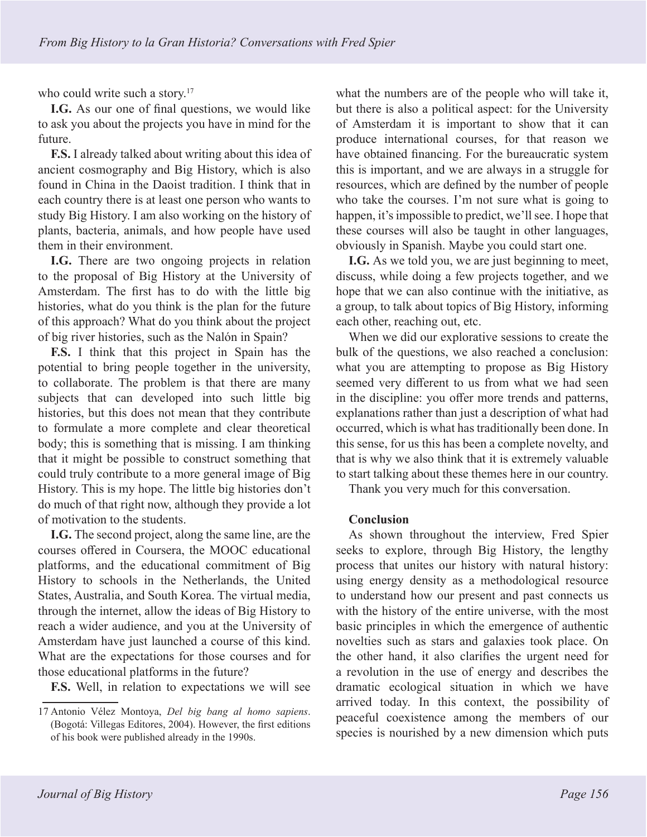who could write such a story.<sup>17</sup>

**I.G.** As our one of final questions, we would like to ask you about the projects you have in mind for the future.

**F.S.** I already talked about writing about this idea of ancient cosmography and Big History, which is also found in China in the Daoist tradition. I think that in each country there is at least one person who wants to study Big History. I am also working on the history of plants, bacteria, animals, and how people have used them in their environment.

**I.G.** There are two ongoing projects in relation to the proposal of Big History at the University of Amsterdam. The first has to do with the little big histories, what do you think is the plan for the future of this approach? What do you think about the project of big river histories, such as the Nalón in Spain?

**F.S.** I think that this project in Spain has the potential to bring people together in the university, to collaborate. The problem is that there are many subjects that can developed into such little big histories, but this does not mean that they contribute to formulate a more complete and clear theoretical body; this is something that is missing. I am thinking that it might be possible to construct something that could truly contribute to a more general image of Big History. This is my hope. The little big histories don't do much of that right now, although they provide a lot of motivation to the students.

**I.G.** The second project, along the same line, are the courses offered in Coursera, the MOOC educational platforms, and the educational commitment of Big History to schools in the Netherlands, the United States, Australia, and South Korea. The virtual media, through the internet, allow the ideas of Big History to reach a wider audience, and you at the University of Amsterdam have just launched a course of this kind. What are the expectations for those courses and for those educational platforms in the future?

**F.S.** Well, in relation to expectations we will see

what the numbers are of the people who will take it, but there is also a political aspect: for the University of Amsterdam it is important to show that it can produce international courses, for that reason we have obtained financing. For the bureaucratic system this is important, and we are always in a struggle for resources, which are defined by the number of people who take the courses. I'm not sure what is going to happen, it's impossible to predict, we'll see. I hope that these courses will also be taught in other languages, obviously in Spanish. Maybe you could start one.

**I.G.** As we told you, we are just beginning to meet, discuss, while doing a few projects together, and we hope that we can also continue with the initiative, as a group, to talk about topics of Big History, informing each other, reaching out, etc.

When we did our explorative sessions to create the bulk of the questions, we also reached a conclusion: what you are attempting to propose as Big History seemed very different to us from what we had seen in the discipline: you offer more trends and patterns, explanations rather than just a description of what had occurred, which is what has traditionally been done. In this sense, for us this has been a complete novelty, and that is why we also think that it is extremely valuable to start talking about these themes here in our country.

Thank you very much for this conversation.

## **Conclusion**

As shown throughout the interview, Fred Spier seeks to explore, through Big History, the lengthy process that unites our history with natural history: using energy density as a methodological resource to understand how our present and past connects us with the history of the entire universe, with the most basic principles in which the emergence of authentic novelties such as stars and galaxies took place. On the other hand, it also clarifies the urgent need for a revolution in the use of energy and describes the dramatic ecological situation in which we have arrived today. In this context, the possibility of peaceful coexistence among the members of our species is nourished by a new dimension which puts

<sup>17</sup> Antonio Vélez Montoya, *Del big bang al homo sapiens*. (Bogotá: Villegas Editores, 2004). However, the first editions of his book were published already in the 1990s.